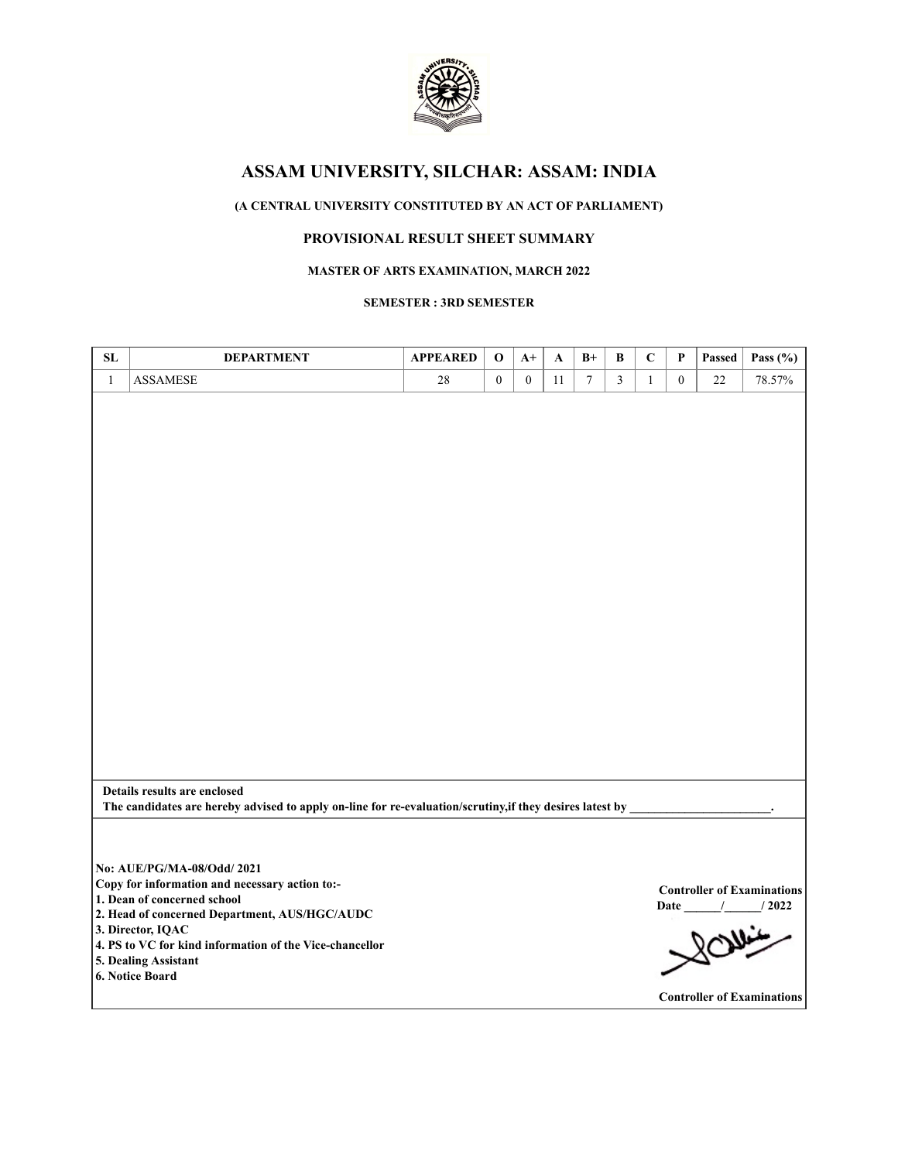

# **(A CENTRAL UNIVERSITY CONSTITUTED BY AN ACT OF PARLIAMENT)**

# **PROVISIONAL RESULT SHEET SUMMARY**

### **MASTER OF ARTS EXAMINATION, MARCH 2022**

**SEMESTER : 3RD SEMESTER**

| SL           | <b>DEPARTMENT</b>                                                                                        | <b>APPEARED</b> | $\mathbf 0$  | $A+$         | A  | $B+$   | В              | $\mathbf C$  | $\mathbf{P}$ | Passed | Pass $(\% )$                      |
|--------------|----------------------------------------------------------------------------------------------------------|-----------------|--------------|--------------|----|--------|----------------|--------------|--------------|--------|-----------------------------------|
| $\mathbf{1}$ | <b>ASSAMESE</b>                                                                                          | 28              | $\mathbf{0}$ | $\mathbf{0}$ | 11 | $\tau$ | $\overline{3}$ | $\mathbf{1}$ | $\mathbf{0}$ | 22     | 78.57%                            |
|              |                                                                                                          |                 |              |              |    |        |                |              |              |        |                                   |
|              |                                                                                                          |                 |              |              |    |        |                |              |              |        |                                   |
|              |                                                                                                          |                 |              |              |    |        |                |              |              |        |                                   |
|              |                                                                                                          |                 |              |              |    |        |                |              |              |        |                                   |
|              |                                                                                                          |                 |              |              |    |        |                |              |              |        |                                   |
|              |                                                                                                          |                 |              |              |    |        |                |              |              |        |                                   |
|              |                                                                                                          |                 |              |              |    |        |                |              |              |        |                                   |
|              |                                                                                                          |                 |              |              |    |        |                |              |              |        |                                   |
|              |                                                                                                          |                 |              |              |    |        |                |              |              |        |                                   |
|              |                                                                                                          |                 |              |              |    |        |                |              |              |        |                                   |
|              |                                                                                                          |                 |              |              |    |        |                |              |              |        |                                   |
|              |                                                                                                          |                 |              |              |    |        |                |              |              |        |                                   |
|              |                                                                                                          |                 |              |              |    |        |                |              |              |        |                                   |
|              |                                                                                                          |                 |              |              |    |        |                |              |              |        |                                   |
|              |                                                                                                          |                 |              |              |    |        |                |              |              |        |                                   |
|              |                                                                                                          |                 |              |              |    |        |                |              |              |        |                                   |
|              |                                                                                                          |                 |              |              |    |        |                |              |              |        |                                   |
|              |                                                                                                          |                 |              |              |    |        |                |              |              |        |                                   |
|              |                                                                                                          |                 |              |              |    |        |                |              |              |        |                                   |
|              |                                                                                                          |                 |              |              |    |        |                |              |              |        |                                   |
|              | Details results are enclosed                                                                             |                 |              |              |    |        |                |              |              |        |                                   |
|              | The candidates are hereby advised to apply on-line for re-evaluation/scrutiny, if they desires latest by |                 |              |              |    |        |                |              |              |        |                                   |
|              |                                                                                                          |                 |              |              |    |        |                |              |              |        |                                   |
|              |                                                                                                          |                 |              |              |    |        |                |              |              |        |                                   |
|              | No: AUE/PG/MA-08/Odd/ 2021                                                                               |                 |              |              |    |        |                |              |              |        |                                   |
|              | Copy for information and necessary action to:-<br>1. Dean of concerned school                            |                 |              |              |    |        |                |              |              |        | <b>Controller of Examinations</b> |
|              | 2. Head of concerned Department, AUS/HGC/AUDC                                                            |                 |              |              |    |        |                |              |              |        | Date / / 2022                     |
|              | 3. Director, IQAC                                                                                        |                 |              |              |    |        |                |              |              |        |                                   |
|              | 4. PS to VC for kind information of the Vice-chancellor                                                  |                 |              |              |    |        |                |              |              | Ollin  |                                   |
|              | 5. Dealing Assistant                                                                                     |                 |              |              |    |        |                |              |              |        |                                   |
|              | 6. Notice Board                                                                                          |                 |              |              |    |        |                |              |              |        |                                   |
|              |                                                                                                          |                 |              |              |    |        |                |              |              |        | <b>Controller of Examinations</b> |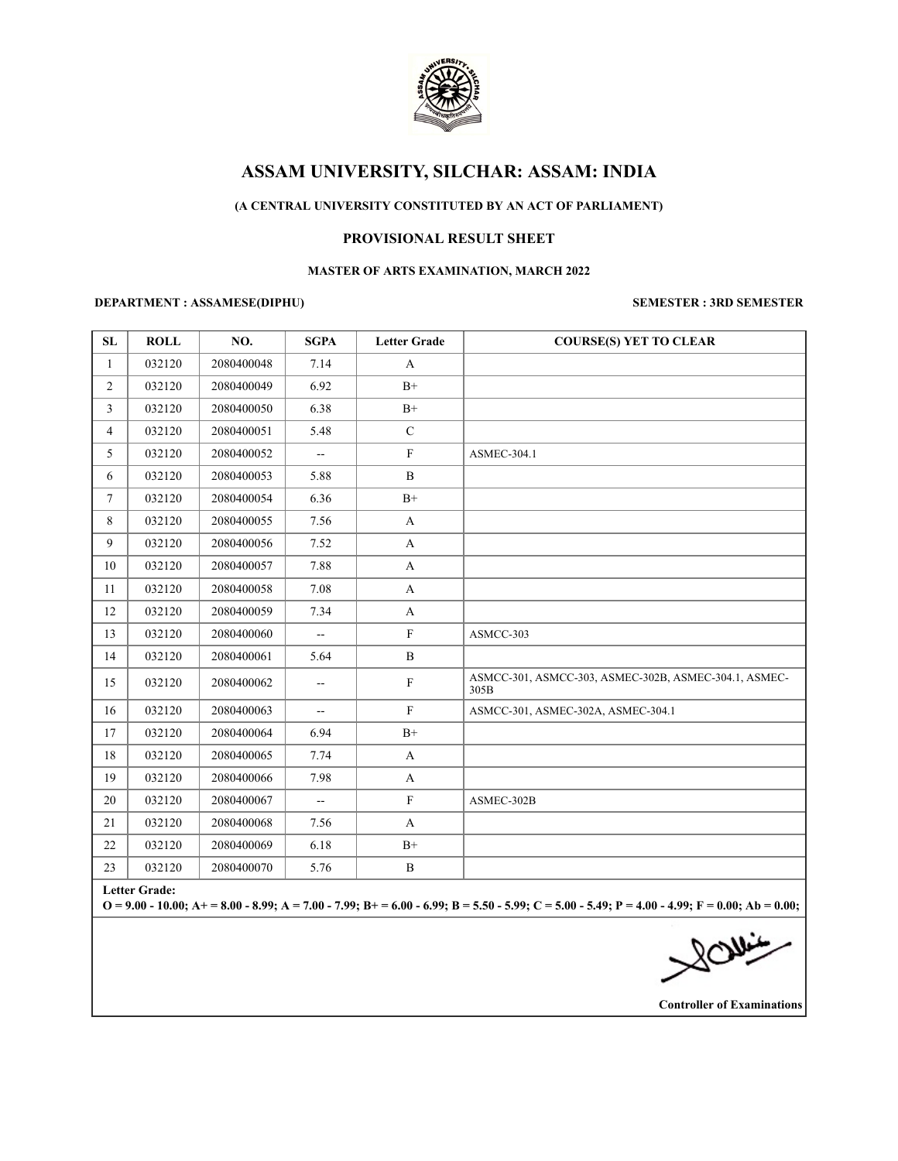

## **(A CENTRAL UNIVERSITY CONSTITUTED BY AN ACT OF PARLIAMENT)**

### **PROVISIONAL RESULT SHEET**

#### **MASTER OF ARTS EXAMINATION, MARCH 2022**

#### **DEPARTMENT : ASSAMESE(DIPHU) SEMESTER : 3RD SEMESTER**

| <b>SL</b>            | <b>ROLL</b> | NO.        | <b>SGPA</b>    | <b>Letter Grade</b> | <b>COURSE(S) YET TO CLEAR</b>                                 |  |  |
|----------------------|-------------|------------|----------------|---------------------|---------------------------------------------------------------|--|--|
| $\mathbf{1}$         | 032120      | 2080400048 | 7.14           | A                   |                                                               |  |  |
| 2                    | 032120      | 2080400049 | 6.92           | $B+$                |                                                               |  |  |
| 3                    | 032120      | 2080400050 | 6.38           | $B+$                |                                                               |  |  |
| $\overline{4}$       | 032120      | 2080400051 | 5.48           | $\mathcal{C}$       |                                                               |  |  |
| 5                    | 032120      | 2080400052 | --             | $\mathbf F$         | ASMEC-304.1                                                   |  |  |
| 6                    | 032120      | 2080400053 | 5.88           | B                   |                                                               |  |  |
| $\tau$               | 032120      | 2080400054 | 6.36           | $B+$                |                                                               |  |  |
| 8                    | 032120      | 2080400055 | 7.56           | $\mathbf{A}$        |                                                               |  |  |
| 9                    | 032120      | 2080400056 | 7.52           | $\mathbf{A}$        |                                                               |  |  |
| 10                   | 032120      | 2080400057 | 7.88           | A                   |                                                               |  |  |
| 11                   | 032120      | 2080400058 | 7.08           | $\mathbf{A}$        |                                                               |  |  |
| 12                   | 032120      | 2080400059 | 7.34           | $\mathbf{A}$        |                                                               |  |  |
| 13                   | 032120      | 2080400060 | $\overline{a}$ | $\mathbf F$         | ASMCC-303                                                     |  |  |
| 14                   | 032120      | 2080400061 | 5.64           | $\bf{B}$            |                                                               |  |  |
| 15                   | 032120      | 2080400062 | $- -$          | ${\bf F}$           | ASMCC-301, ASMCC-303, ASMEC-302B, ASMEC-304.1, ASMEC-<br>305B |  |  |
| 16                   | 032120      | 2080400063 | $\overline{a}$ | $\mathbf F$         | ASMCC-301, ASMEC-302A, ASMEC-304.1                            |  |  |
| 17                   | 032120      | 2080400064 | 6.94           | $B+$                |                                                               |  |  |
| 18                   | 032120      | 2080400065 | 7.74           | A                   |                                                               |  |  |
| 19                   | 032120      | 2080400066 | 7.98           | A                   |                                                               |  |  |
| 20                   | 032120      | 2080400067 | --             | $\mathbf{F}$        | ASMEC-302B                                                    |  |  |
| 21                   | 032120      | 2080400068 | 7.56           | A                   |                                                               |  |  |
| 22                   | 032120      | 2080400069 | 6.18           | $B+$                |                                                               |  |  |
| 23                   | 032120      | 2080400070 | 5.76           | $\mathbf B$         |                                                               |  |  |
| <b>Letter Grade:</b> |             |            |                |                     |                                                               |  |  |

**O = 9.00 - 10.00; A+ = 8.00 - 8.99; A = 7.00 - 7.99; B+ = 6.00 - 6.99; B = 5.50 - 5.99; C = 5.00 - 5.49; P = 4.00 - 4.99; F = 0.00; Ab = 0.00;**

 $\sqrt{2}$ 

**Controller of Examinations**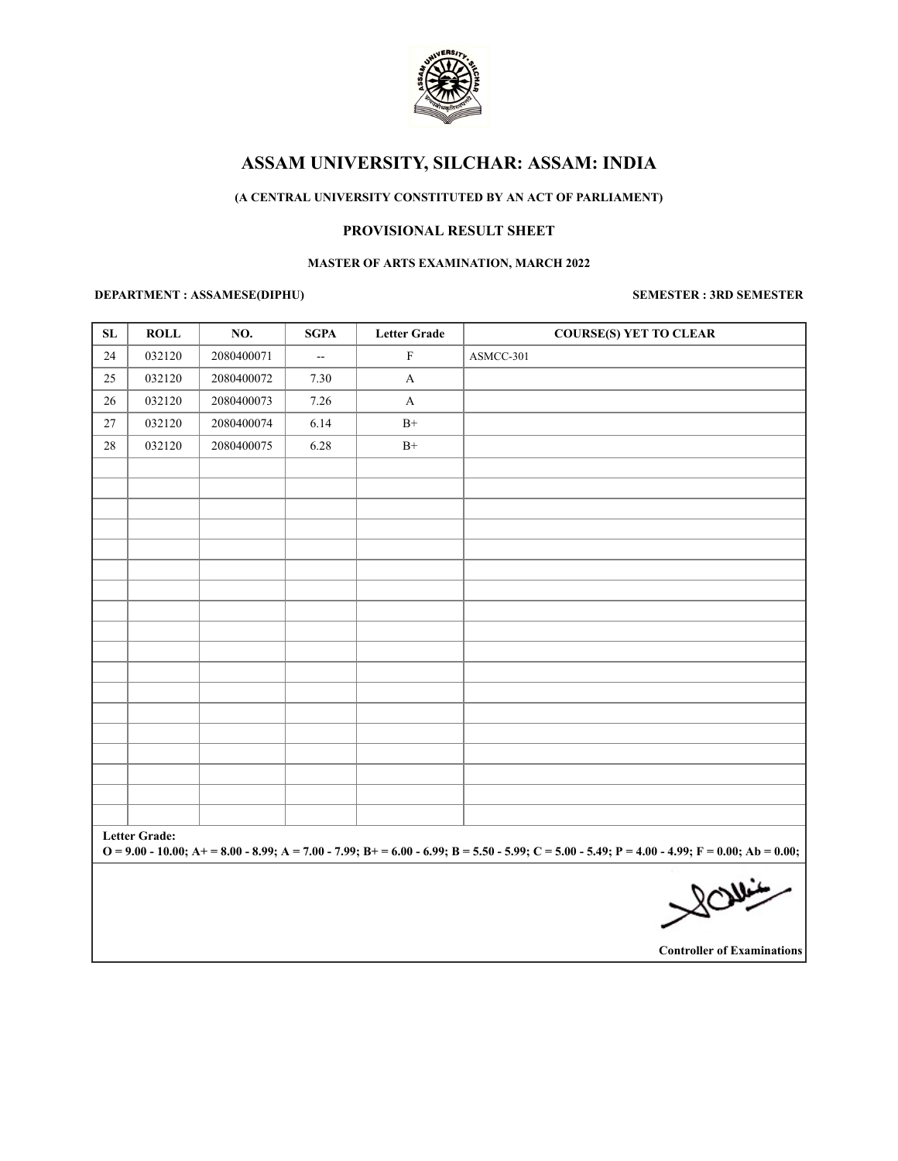

## **(A CENTRAL UNIVERSITY CONSTITUTED BY AN ACT OF PARLIAMENT)**

## **PROVISIONAL RESULT SHEET**

### **MASTER OF ARTS EXAMINATION, MARCH 2022**

#### **DEPARTMENT : ASSAMESE(DIPHU) SEMESTER : 3RD SEMESTER**

| SL                                                                                                                                                                          | <b>ROLL</b> | NO.        | <b>SGPA</b>              | <b>Letter Grade</b> | <b>COURSE(S) YET TO CLEAR</b> |  |  |  |  |
|-----------------------------------------------------------------------------------------------------------------------------------------------------------------------------|-------------|------------|--------------------------|---------------------|-------------------------------|--|--|--|--|
| 24                                                                                                                                                                          | 032120      | 2080400071 | $\overline{\phantom{a}}$ | $\mathbf F$         | ASMCC-301                     |  |  |  |  |
| 25                                                                                                                                                                          | 032120      | 2080400072 | 7.30                     | $\mathbf{A}$        |                               |  |  |  |  |
| 26                                                                                                                                                                          | 032120      | 2080400073 | 7.26                     | $\mathbf{A}$        |                               |  |  |  |  |
| 27                                                                                                                                                                          | 032120      | 2080400074 | 6.14                     | $\mathrm{B}^{+}$    |                               |  |  |  |  |
| 28                                                                                                                                                                          | 032120      | 2080400075 | 6.28                     | $\mathrm{B}^{+}$    |                               |  |  |  |  |
|                                                                                                                                                                             |             |            |                          |                     |                               |  |  |  |  |
|                                                                                                                                                                             |             |            |                          |                     |                               |  |  |  |  |
|                                                                                                                                                                             |             |            |                          |                     |                               |  |  |  |  |
|                                                                                                                                                                             |             |            |                          |                     |                               |  |  |  |  |
|                                                                                                                                                                             |             |            |                          |                     |                               |  |  |  |  |
|                                                                                                                                                                             |             |            |                          |                     |                               |  |  |  |  |
|                                                                                                                                                                             |             |            |                          |                     |                               |  |  |  |  |
|                                                                                                                                                                             |             |            |                          |                     |                               |  |  |  |  |
|                                                                                                                                                                             |             |            |                          |                     |                               |  |  |  |  |
|                                                                                                                                                                             |             |            |                          |                     |                               |  |  |  |  |
|                                                                                                                                                                             |             |            |                          |                     |                               |  |  |  |  |
|                                                                                                                                                                             |             |            |                          |                     |                               |  |  |  |  |
|                                                                                                                                                                             |             |            |                          |                     |                               |  |  |  |  |
|                                                                                                                                                                             |             |            |                          |                     |                               |  |  |  |  |
|                                                                                                                                                                             |             |            |                          |                     |                               |  |  |  |  |
|                                                                                                                                                                             |             |            |                          |                     |                               |  |  |  |  |
|                                                                                                                                                                             |             |            |                          |                     |                               |  |  |  |  |
| <b>Letter Grade:</b><br>$Q = 9.00 - 10.00$ ; A + = 8.00 - 8.99; A = 7.00 - 7.99; B + = 6.00 - 6.99; B = 5.50 - 5.99; C = 5.00 - 5.49; P = 4.00 - 4.99; F = 0.00; Ab = 0.00; |             |            |                          |                     |                               |  |  |  |  |
|                                                                                                                                                                             |             |            |                          |                     |                               |  |  |  |  |
|                                                                                                                                                                             |             |            |                          |                     |                               |  |  |  |  |
|                                                                                                                                                                             |             |            |                          |                     | $100;$ Ab =                   |  |  |  |  |

**Controller of Examinations**